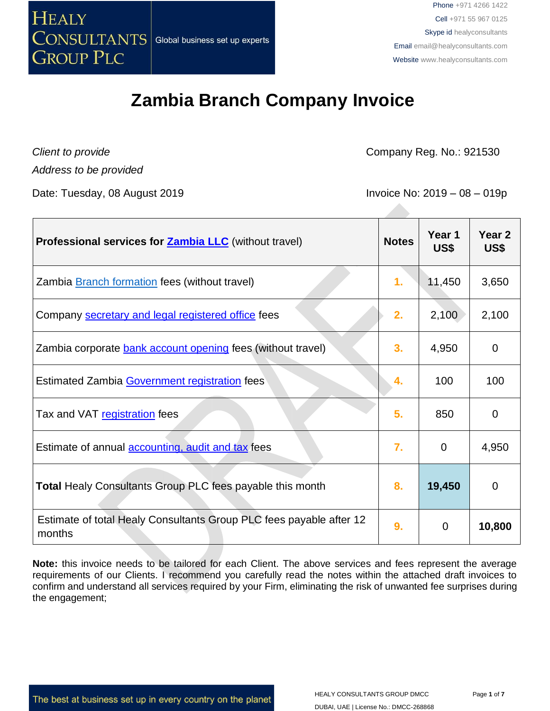

## **Zambia Branch Company Invoice**

*Address to be provided*

*Client to provide* **Company Reg. No.: 921530** 

Date: Tuesday, 08 August 2019 **Invoice No: 2019** - 08 - 019p

| <b>Professional services for Zambia LLC</b> (without travel)                  | <b>Notes</b> | Year 1<br>US\$ | Year <sub>2</sub><br>US\$ |
|-------------------------------------------------------------------------------|--------------|----------------|---------------------------|
| Zambia <b>Branch formation</b> fees (without travel)                          | 1.           | 11,450         | 3,650                     |
| Company secretary and legal registered office fees                            | 2.           | 2,100          | 2,100                     |
| Zambia corporate <b>bank account opening</b> fees (without travel)            | 3.           | 4,950          | 0                         |
| Estimated Zambia Government registration fees                                 | 4.           | 100            | 100                       |
| Tax and VAT registration fees                                                 | 5.           | 850            | 0                         |
| Estimate of annual <b>accounting</b> , audit and tax fees                     | 7.           | $\Omega$       | 4,950                     |
| Total Healy Consultants Group PLC fees payable this month                     | 8.           | 19,450         | $\mathbf 0$               |
| Estimate of total Healy Consultants Group PLC fees payable after 12<br>months | 9.           | 0              | 10,800                    |

**Note:** this invoice needs to be tailored for each Client. The above services and fees represent the average requirements of our Clients. I recommend you carefully read the notes within the attached draft invoices to confirm and understand all services required by your Firm, eliminating the risk of unwanted fee surprises during the engagement;

The best at business set up in every country on the planet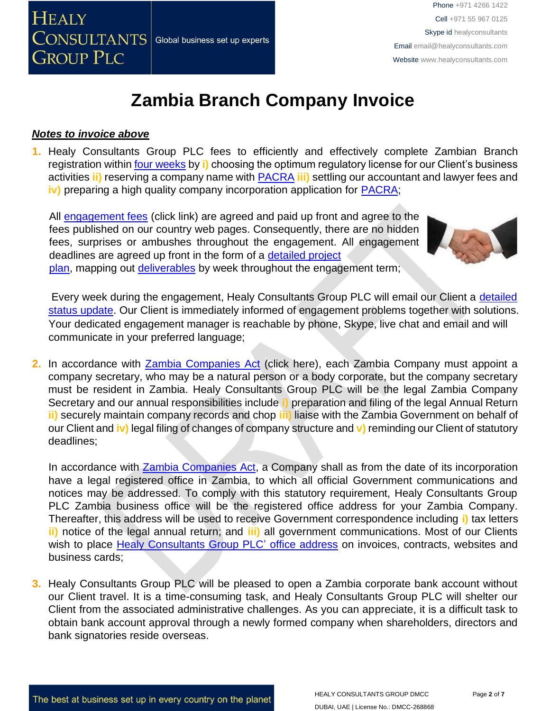

# **Zambia Branch Company Invoice**

#### *Notes to invoice above*

**1.** Healy Consultants Group PLC fees to efficiently and effectively complete Zambian Branch registration within [four weeks](http://www.healyconsultants.com/zambia-company-registration/fees-timelines/#timelines) by **i)** choosing the optimum regulatory license for our Client's business activities **ii)** reserving a company name with [PACRA](http://www.pacra.org.zm/) **[i](http://www.pacra.org.zm/)ii)** settling our accountant and lawyer fees and **iv)** preparing a high quality company incorporation application for **PACRA**;

All [engagement fees](http://www.healyconsultants.com/company-registration-fees/) (click link) are agreed and paid up front and agree to the fees published on our country web pages. Consequently, there are no hidden fees, surprises or ambushes throughout the engagement. All engagement deadlines are agreed up front in the form of a [detailed project](http://www.healyconsultants.com/index-important-links/example-project-plan/) [plan,](http://www.healyconsultants.com/index-important-links/example-project-plan/) mapping out [deliverables](http://www.healyconsultants.com/deliverables-to-our-clients/) by week throughout the engagement term;



Every week during the engagement, Healy Consultants Group PLC will email our Client a detailed [status update.](http://www.healyconsultants.com/index-important-links/weekly-engagement-status-email/) Our Client is immediately informed of engagement problems together with solutions. Your dedicated engagement manager is reachable by phone, Skype, live chat and email and will communicate in your preferred language;

**2.** In accordance with [Zambia Companies Act](http://www.zamlii.org/zm/legislation/consolidated-act/388) (click here), each Zambia Company must appoint a company secretary, who may be a natural person or a body corporate, but the company secretary must be resident in Zambia. Healy Consultants Group PLC will be the legal Zambia Company Secretary and our annual responsibilities include **i)** preparation and filing of the legal Annual Return **ii)** securely maintain company records and chop **iii)** liaise with the Zambia Government on behalf of our Client and **iv)** legal filing of changes of company structure and **v)** reminding our Client of statutory deadlines;

In accordance wit[h](http://www.zamlii.org/zm/legislation/consolidated-act/388) **Zambia Companies Act**, a Company shall as from the date of its incorporation have a legal registered office in Zambia, to which all official Government communications and notices may be addressed. To comply with this statutory requirement, Healy Consultants Group PLC Zambia business office will be the registered office address for your Zambia Company. Thereafter, this address will be used to receive Government correspondence including **i)** tax letters **ii)** notice of the legal annual return; and **iii)** all government communications. Most of our Clients wish to place [Healy Consultants Group PLC' office address](http://www.healyconsultants.com/corporate-outsourcing-services/company-secretary-and-legal-registered-office/) on invoices, contracts, websites and business cards;

**3.** Healy Consultants Group PLC will be pleased to open a Zambia corporate bank account without our Client travel. It is a time-consuming task, and Healy Consultants Group PLC will shelter our Client from the associated administrative challenges. As you can appreciate, it is a difficult task to obtain bank account approval through a newly formed company when shareholders, directors and bank signatories reside overseas.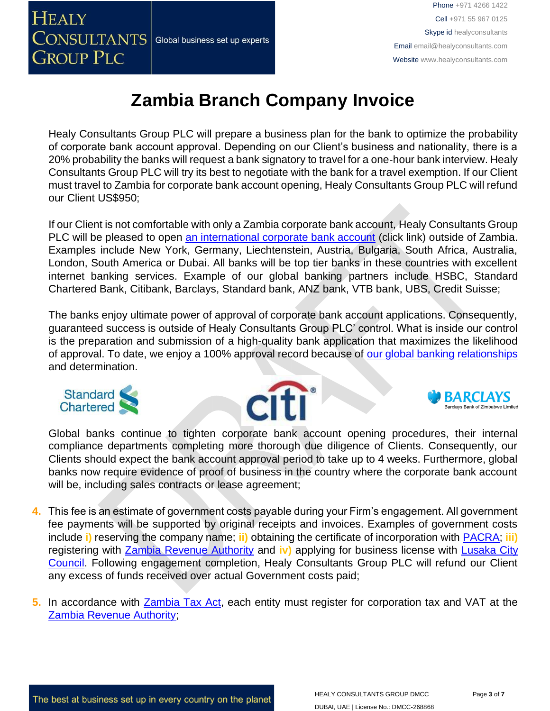

# **Zambia Branch Company Invoice**

Healy Consultants Group PLC will prepare a business plan for the bank to optimize the probability of corporate bank account approval. Depending on our Client's business and nationality, there is a 20% probability the banks will request a bank signatory to travel for a one-hour bank interview. Healy Consultants Group PLC will try its best to negotiate with the bank for a travel exemption. If our Client must travel to Zambia for corporate bank account opening, Healy Consultants Group PLC will refund our Client US\$950;

If our Client is not comfortable with only a Zambia corporate bank account, Healy Consultants Group PLC will be pleased to open [an international corporate bank account](http://www.healyconsultants.com/international-banking/) [\(](http://www.healyconsultants.com/international-banking/)click link) outside of Zambia. Examples include New York, Germany, Liechtenstein, Austria, Bulgaria, South Africa, Australia, London, South America or Dubai. All banks will be top tier banks in these countries with excellent internet banking services. Example of our global banking partners include HSBC, Standard Chartered Bank, Citibank, Barclays, Standard bank, ANZ bank, VTB bank, UBS, Credit Suisse;

The banks enjoy ultimate power of approval of corporate bank account applications. Consequently, guaranteed success is outside of Healy Consultants Group PLC' control. What is inside our control is the preparation and submission of a high-quality bank application that maximizes the likelihood of approval. To date, we enjoy a 100% approval record because of [our global banking](http://www.healyconsultants.com/international-banking/corporate-accounts/) [relationships](http://www.healyconsultants.com/international-banking/corporate-accounts/) and determination.







Global banks continue to tighten corporate bank account opening procedures, their internal compliance departments completing more thorough due diligence of Clients. Consequently, our Clients should expect the bank account approval period to take up to 4 weeks. Furthermore, global banks now require evidence of proof of business in the country where the corporate bank account will be, including sales contracts or lease agreement;

- **4.** This fee is an estimate of government costs payable during your Firm's engagement. All government fee payments will be supported by original receipts and invoices. Examples of government costs include **i)** reserving the company name; **ii)** obtaining the certificate of incorporation with [PACRA;](http://www.pacra.org.zm/) **iii)** registering with [Zambia Revenue Authority](https://www.zra.org.zm/) and **iv)** applying for business license with [Lusaka City](http://www.lcc.gov.zm/)  [Council.](http://www.lcc.gov.zm/) Following engagement completion, Healy Consultants Group PLC will refund our Client any excess of funds received over actual Government costs paid;
- **5.** In accordance with [Zambia Tax Act,](https://track.unodc.org/LegalLibrary/LegalResources/Zambia/Laws/Zambia%20Income%20Tax%20Act%201967%20%28as%20amended%202006%29.pdf) each entity must register for corporation tax and VAT at the [Zambia Revenue Authority;](https://www.zra.org.zm/)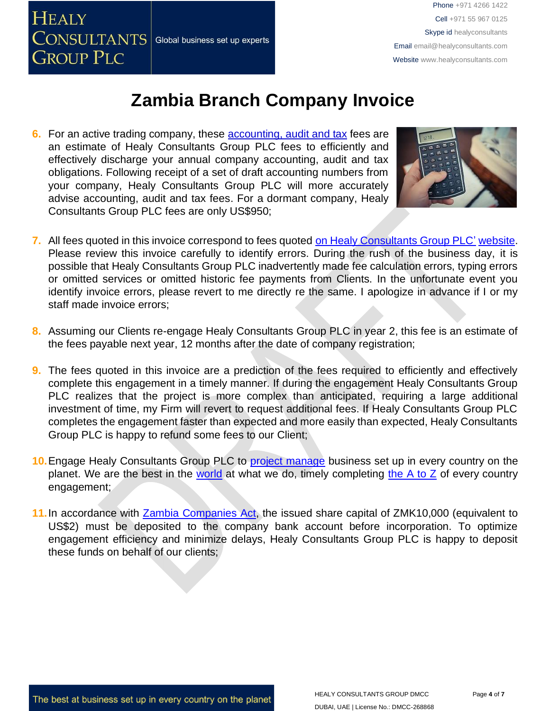

## **Zambia Branch Company Invoice**

**6.** For an active trading company, these [accounting, audit](http://www.healyconsultants.com/zambia-company-registration/accounting-legal/) [and tax](http://www.healyconsultants.com/zambia-company-registration/accounting-legal/) fees are an estimate of Healy Consultants Group PLC fees to efficiently and effectively discharge your annual company accounting, audit and tax obligations. Following receipt of a set of draft accounting numbers from your company, Healy Consultants Group PLC will more accurately advise accounting, audit and tax fees. For a dormant company, Healy Consultants Group PLC fees are only US\$950;



- **7.** All fees quoted in this invoice correspond to fees quoted [on Healy Consultants Group PLC'](http://www.healyconsultants.com/company-registration-fees/) [website.](http://www.healyconsultants.com/company-registration-fees/) Please review this invoice carefully to identify errors. During the rush of the business day, it is possible that Healy Consultants Group PLC inadvertently made fee calculation errors, typing errors or omitted services or omitted historic fee payments from Clients. In the unfortunate event you identify invoice errors, please revert to me directly re the same. I apologize in advance if I or my staff made invoice errors;
- **8.** Assuming our Clients re-engage Healy Consultants Group PLC in year 2, this fee is an estimate of the fees payable next year, 12 months after the date of company registration;
- **9.** The fees quoted in this invoice are a prediction of the fees required to efficiently and effectively complete this engagement in a timely manner. If during the engagement Healy Consultants Group PLC realizes that the project is more complex than anticipated, requiring a large additional investment of time, my Firm will revert to request additional fees. If Healy Consultants Group PLC completes the engagement faster than expected and more easily than expected, Healy Consultants Group PLC is happy to refund some fees to our Client;
- 10. Engage Healy Consultants Group PLC to [project manage](http://www.healyconsultants.com/project-manage-engagements/) business set up in every country on the planet. We are the best in the [world](http://www.healyconsultants.com/best-in-the-world/) at what we do, timely completing [the A to Z](http://www.healyconsultants.com/a-to-z-of-business-set-up/) of every country engagement;
- 11. In accordance wit[h](http://www.parliament.gov.zm/downloads/VOLUME%2021.pdf) [Zambia Companies Act,](http://www.parliament.gov.zm/downloads/VOLUME%2021.pdf) the issued share capital of ZMK10,000 (equivalent to US\$2) must be deposited to the company bank account before incorporation. To optimize engagement efficiency and minimize delays, Healy Consultants Group PLC is happy to deposit these funds on behalf of our clients;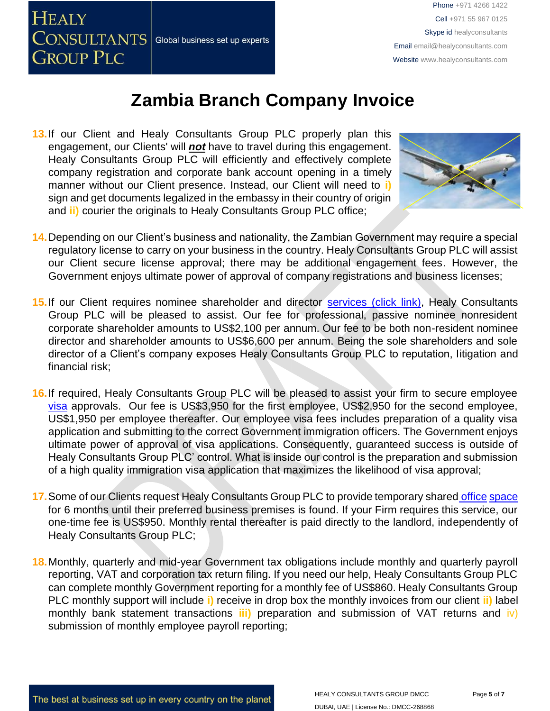

## **Zambia Branch Company Invoice**

13. If our Client and Healy Consultants Group PLC properly plan this engagement, our Clients' will *not* have to travel during this engagement. Healy Consultants Group PLC will efficiently and effectively complete company registration and corporate bank account opening in a timely manner without our Client presence. Instead, our Client will need to **i)** sign and get documents legalized in the embassy in their country of origin and **ii)** courier the originals to Healy Consultants Group PLC office;



- **14.**Depending on our Client's business and nationality, the Zambian Government may require a special regulatory license to carry on your business in the country. Healy Consultants Group PLC will assist our Client secure license approval; there may be additional engagement fees. However, the Government enjoys ultimate power of approval of company registrations and business licenses;
- 15. If our Client requires nominee shareholder and director [services](http://www.healyconsultants.com/corporate-outsourcing-services/nominee-shareholders-directors/) [\(click link\),](http://www.healyconsultants.com/corporate-outsourcing-services/nominee-shareholders-directors/) Healy Consultants Group PLC will be pleased to assist. Our fee for professional, passive nominee nonresident corporate shareholder amounts to US\$2,100 per annum. Our fee to be both non-resident nominee director and shareholder amounts to US\$6,600 per annum. Being the sole shareholders and sole director of a Client's company exposes Healy Consultants Group PLC to reputation, litigation and financial risk;
- **16.**If required, Healy Consultants Group PLC will be pleased to assist your firm to secure employee [visa](http://www.healyconsultants.com/migration/) [a](http://www.healyconsultants.com/migration/)pprovals. Our fee is US\$3,950 for the first employee, US\$2,950 for the second employee, US\$1,950 per employee thereafter. Our employee visa fees includes preparation of a quality visa application and submitting to the correct Government immigration officers. The Government enjoys ultimate power of approval of visa applications. Consequently, guaranteed success is outside of Healy Consultants Group PLC' control. What is inside our control is the preparation and submission of a high quality immigration visa application that maximizes the likelihood of visa approval;
- **17.**Some of our Clients request Healy Consultants Group PLC to provide temporary share[d](http://www.healyconsultants.com/virtual-office/) [office](http://www.healyconsultants.com/virtual-office/) [space](http://www.healyconsultants.com/virtual-office/) for 6 months until their preferred business premises is found. If your Firm requires this service, our one-time fee is US\$950. Monthly rental thereafter is paid directly to the landlord, independently of Healy Consultants Group PLC;
- **18.**Monthly, quarterly and mid-year Government tax obligations include monthly and quarterly payroll reporting, VAT and corporation tax return filing. If you need our help, Healy Consultants Group PLC can complete monthly Government reporting for a monthly fee of US\$860. Healy Consultants Group PLC monthly support will include **i)** receive in drop box the monthly invoices from our client **ii)** label monthly bank statement transactions **iii)** preparation and submission of VAT returns and iv) submission of monthly employee payroll reporting;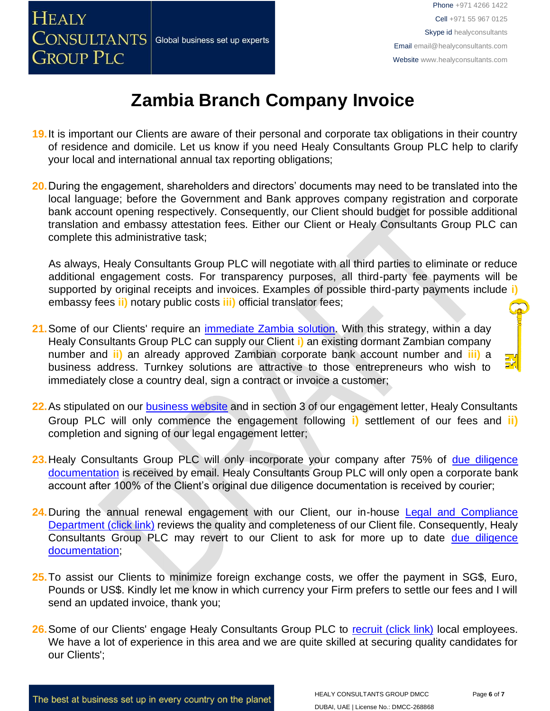

# **Zambia Branch Company Invoice**

- **19.**It is important our Clients are aware of their personal and corporate tax obligations in their country of residence and domicile. Let us know if you need Healy Consultants Group PLC help to clarify your local and international annual tax reporting obligations;
- **20.**During the engagement, shareholders and directors' documents may need to be translated into the local language; before the Government and Bank approves company registration and corporate bank account opening respectively. Consequently, our Client should budget for possible additional translation and embassy attestation fees. Either our Client or Healy Consultants Group PLC can complete this administrative task;

As always, Healy Consultants Group PLC will negotiate with all third parties to eliminate or reduce additional engagement costs. For transparency purposes, all third-party fee payments will be supported by original receipts and invoices. Examples of possible third-party payments include **i)** embassy fees **ii)** notary public costs **iii)** official translator fees;

- **21.**Some of our Clients' require an [immediate Zambia](http://www.healyconsultants.com/turnkey-solutions/) [solution.](http://www.healyconsultants.com/turnkey-solutions/) With this strategy, within a day Healy Consultants Group PLC can supply our Client **i)** an existing dormant Zambian company number and **ii)** an already approved Zambian corporate bank account number and **iii)** a business address. Turnkey solutions are attractive to those entrepreneurs who wish to immediately close a country deal, sign a contract or invoice a customer;
- **22.**As stipulated on our [business website](http://www.healyconsultants.com/) and in section 3 of our engagement letter, Healy Consultants Group PLC will only commence the engagement following **i)** settlement of our fees and **ii)** completion and signing of our legal engagement letter;
- 23. Healy Consultants Group PLC will only incorporate your company after 75% of [due diligence](http://www.healyconsultants.com/due-diligence/) [documentation](http://www.healyconsultants.com/due-diligence/) is received by email. Healy Consultants Group PLC will only open a corporate bank account after 100% of the Client's original due diligence documentation is received by courier;
- 24. During the annual renewal engagement with our Client, our in-house [Legal and Compliance](http://www.healyconsultants.com/about-us/key-personnel/cai-xin-profile/) [Department \(click link\)](http://www.healyconsultants.com/about-us/key-personnel/cai-xin-profile/) reviews the quality and completeness of our Client file. Consequently, Healy Consultants Group PLC may revert to our Client to ask for more up to date [due diligence](http://www.healyconsultants.com/due-diligence/) [documentation;](http://www.healyconsultants.com/due-diligence/)
- **25.**To assist our Clients to minimize foreign exchange costs, we offer the payment in SG\$, Euro, Pounds or US\$. Kindly let me know in which currency your Firm prefers to settle our fees and I will send an updated invoice, thank you;
- 26. Some of our Clients' engage Healy Consultants Group PLC to [recruit \(click link\)](http://www.healyconsultants.com/corporate-outsourcing-services/how-we-help-our-clients-recruit-quality-employees/) local employees. We have a lot of experience in this area and we are quite skilled at securing quality candidates for our Clients';